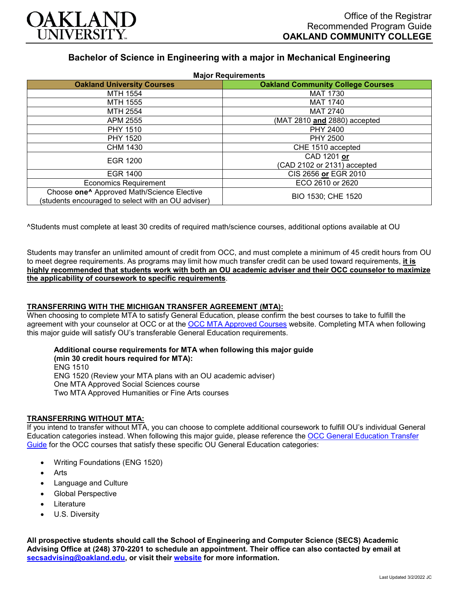

# **Bachelor of Science in Engineering with a major in Mechanical Engineering**

| <b>Major Requirements</b>                              |                                          |
|--------------------------------------------------------|------------------------------------------|
| <b>Oakland University Courses</b>                      | <b>Oakland Community College Courses</b> |
| MTH 1554                                               | <b>MAT 1730</b>                          |
| <b>MTH 1555</b>                                        | <b>MAT 1740</b>                          |
| MTH 2554                                               | <b>MAT 2740</b>                          |
| APM 2555                                               | (MAT 2810 and 2880) accepted             |
| <b>PHY 1510</b>                                        | PHY 2400                                 |
| <b>PHY 1520</b>                                        | <b>PHY 2500</b>                          |
| CHM 1430                                               | CHE 1510 accepted                        |
| EGR 1200                                               | CAD 1201 or                              |
|                                                        | (CAD 2102 or 2131) accepted              |
| <b>EGR 1400</b>                                        | CIS 2656 or EGR 2010                     |
| <b>Economics Requirement</b>                           | ECO 2610 or 2620                         |
| Choose one <sup>^</sup> Approved Math/Science Elective | BIO 1530; CHE 1520                       |
| (students encouraged to select with an OU adviser)     |                                          |

^Students must complete at least 30 credits of required math/science courses, additional options available at OU

Students may transfer an unlimited amount of credit from OCC, and must complete a minimum of 45 credit hours from OU to meet degree requirements. As programs may limit how much transfer credit can be used toward requirements, **it is highly recommended that students work with both an OU academic adviser and their OCC counselor to maximize the applicability of coursework to specific requirements**.

# **TRANSFERRING WITH THE MICHIGAN TRANSFER AGREEMENT (MTA):**

When choosing to complete MTA to satisfy General Education, please confirm the best courses to take to fulfill the agreement with your counselor at OCC or at the [OCC MTA Approved Courses](http://catalog.oaklandcc.edu/graduation-requirements/michigan-transfer-agreement/) website. Completing MTA when following this major guide will satisfy OU's transferable General Education requirements.

#### **Additional course requirements for MTA when following this major guide**

**(min 30 credit hours required for MTA):** ENG 1510 ENG 1520 (Review your MTA plans with an OU academic adviser) One MTA Approved Social Sciences course Two MTA Approved Humanities or Fine Arts courses

#### **TRANSFERRING WITHOUT MTA:**

If you intend to transfer without MTA, you can choose to complete additional coursework to fulfill OU's individual General Education categories instead. When following this major guide, please reference the OCC General Education Transfer [Guide](https://www.oakland.edu/Assets/Oakland/program-guides/oakland-community-college/university-general-education-requirements/OCC%20Gen%20Ed.pdf) for the OCC courses that satisfy these specific OU General Education categories:

- Writing Foundations (ENG 1520)
- **Arts**
- Language and Culture
- Global Perspective
- **Literature**
- U.S. Diversity

**All prospective students should call the School of Engineering and Computer Science (SECS) Academic Advising Office at (248) 370-2201 to schedule an appointment. Their office can also contacted by email at [secsadvising@oakland.edu,](mailto:secsadvising@oakland.edu) or visit their [website](https://wwwp.oakland.edu/secs/advising/) for more information.**